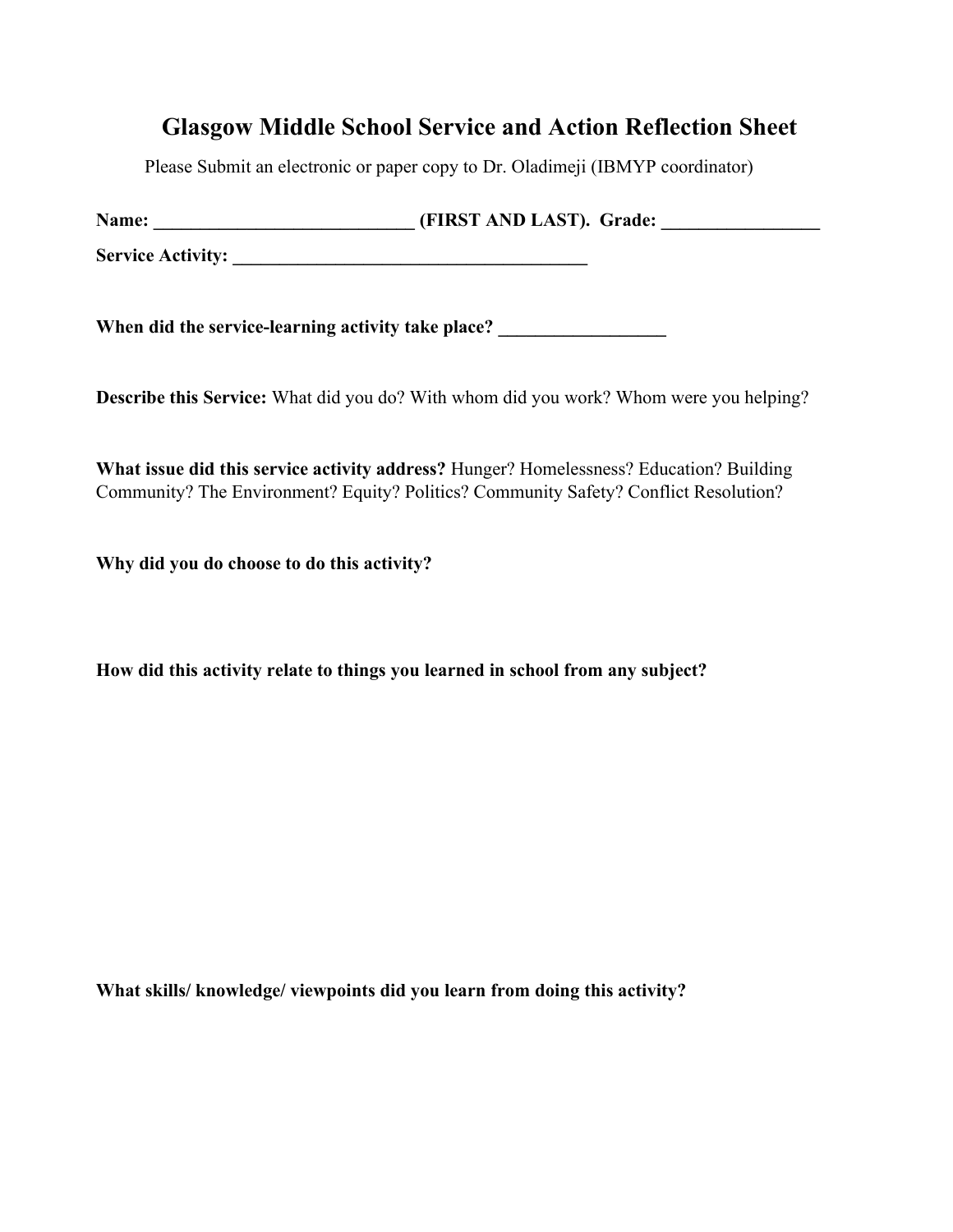## **Glasgow Middle School Service and Action Reflection Sheet**

Please Submit an electronic or paper copy to Dr. Oladimeji (IBMYP coordinator)

| Name:                    | (FIRST AND LAST). Grade: |
|--------------------------|--------------------------|
| <b>Service Activity:</b> |                          |
|                          |                          |

When did the service-learning activity take place?

**Describe this Service:** What did you do? With whom did you work? Whom were you helping?

**What issue did this service activity address?** Hunger? Homelessness? Education? Building Community? The Environment? Equity? Politics? Community Safety? Conflict Resolution?

**Why did you do choose to do this activity?** 

**How did this activity relate to things you learned in school from any subject?** 

**What skills/ knowledge/ viewpoints did you learn from doing this activity?**